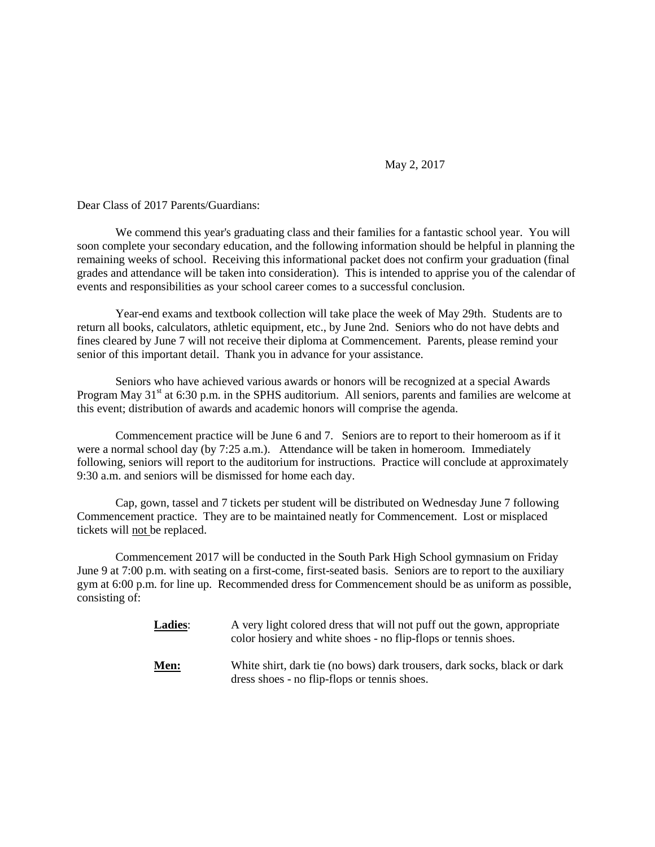## May 2, 2017

Dear Class of 2017 Parents/Guardians:

We commend this year's graduating class and their families for a fantastic school year. You will soon complete your secondary education, and the following information should be helpful in planning the remaining weeks of school. Receiving this informational packet does not confirm your graduation (final grades and attendance will be taken into consideration). This is intended to apprise you of the calendar of events and responsibilities as your school career comes to a successful conclusion.

Year-end exams and textbook collection will take place the week of May 29th. Students are to return all books, calculators, athletic equipment, etc., by June 2nd. Seniors who do not have debts and fines cleared by June 7 will not receive their diploma at Commencement. Parents, please remind your senior of this important detail. Thank you in advance for your assistance.

Seniors who have achieved various awards or honors will be recognized at a special Awards Program May 31<sup>st</sup> at 6:30 p.m. in the SPHS auditorium. All seniors, parents and families are welcome at this event; distribution of awards and academic honors will comprise the agenda.

Commencement practice will be June 6 and 7. Seniors are to report to their homeroom as if it were a normal school day (by 7:25 a.m.). Attendance will be taken in homeroom. Immediately following, seniors will report to the auditorium for instructions. Practice will conclude at approximately 9:30 a.m. and seniors will be dismissed for home each day.

Cap, gown, tassel and 7 tickets per student will be distributed on Wednesday June 7 following Commencement practice. They are to be maintained neatly for Commencement. Lost or misplaced tickets will not be replaced.

Commencement 2017 will be conducted in the South Park High School gymnasium on Friday June 9 at 7:00 p.m. with seating on a first-come, first-seated basis. Seniors are to report to the auxiliary gym at 6:00 p.m. for line up. Recommended dress for Commencement should be as uniform as possible, consisting of:

| <b>Ladies:</b> | A very light colored dress that will not puff out the gown, appropriate<br>color hosiery and white shoes - no flip-flops or tennis shoes. |
|----------------|-------------------------------------------------------------------------------------------------------------------------------------------|
| Men:           | White shirt, dark tie (no bows) dark trousers, dark socks, black or dark<br>dress shoes - no flip-flops or tennis shoes.                  |